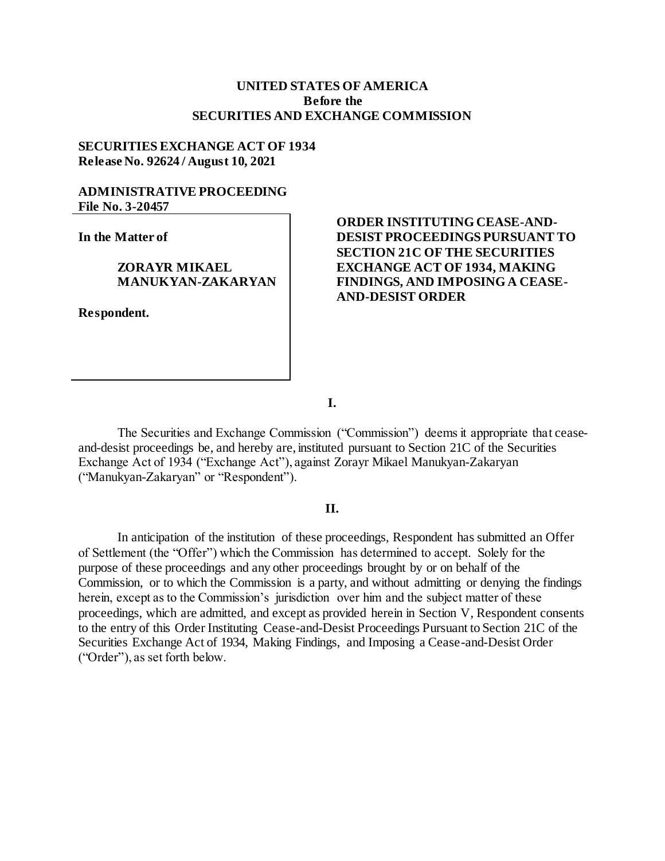### **UNITED STATES OF AMERICA Before the SECURITIES AND EXCHANGE COMMISSION**

### **SECURITIES EXCHANGE ACT OF 1934 Release No. 92624 / August 10, 2021**

## **ADMINISTRATIVE PROCEEDING File No. 3-20457**

**In the Matter of**

### **ZORAYR MIKAEL MANUKYAN-ZAKARYAN**

**Respondent.**

# **ORDER INSTITUTING CEASE-AND-DESIST PROCEEDINGS PURSUANT TO SECTION 21C OF THE SECURITIES EXCHANGE ACT OF 1934, MAKING FINDINGS, AND IMPOSING A CEASE-AND-DESIST ORDER**

**I.**

The Securities and Exchange Commission ("Commission") deems it appropriate that ceaseand-desist proceedings be, and hereby are, instituted pursuant to Section 21C of the Securities Exchange Act of 1934 ("Exchange Act"), against Zorayr Mikael Manukyan-Zakaryan ("Manukyan-Zakaryan" or "Respondent").

### **II.**

In anticipation of the institution of these proceedings, Respondent has submitted an Offer of Settlement (the "Offer") which the Commission has determined to accept. Solely for the purpose of these proceedings and any other proceedings brought by or on behalf of the Commission, or to which the Commission is a party, and without admitting or denying the findings herein, except as to the Commission's jurisdiction over him and the subject matter of these proceedings, which are admitted, and except as provided herein in Section V, Respondent consents to the entry of this Order Instituting Cease-and-Desist Proceedings Pursuant to Section 21C of the Securities Exchange Act of 1934, Making Findings, and Imposing a Cease-and-Desist Order ("Order"), as set forth below.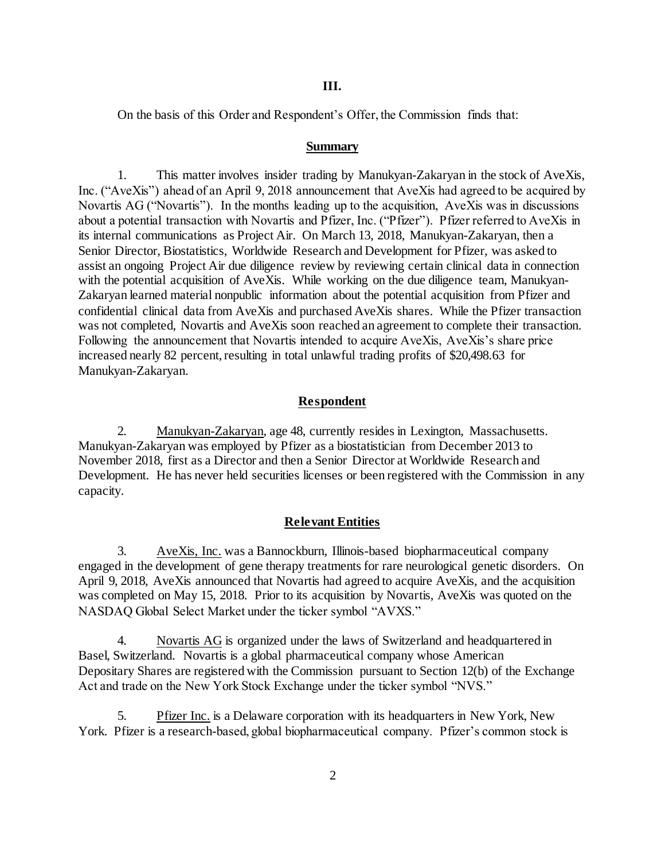#### **III.**

On the basis of this Order and Respondent's Offer, the Commission finds that:

#### **Summary**

1. This matter involves insider trading by Manukyan-Zakaryan in the stock of AveXis, Inc. ("AveXis") ahead of an April 9, 2018 announcement that AveXis had agreed to be acquired by Novartis AG ("Novartis"). In the months leading up to the acquisition, AveXis was in discussions about a potential transaction with Novartis and Pfizer, Inc. ("Pfizer"). Pfizer referred to AveXis in its internal communications as Project Air. On March 13, 2018, Manukyan-Zakaryan, then a Senior Director, Biostatistics, Worldwide Research and Development for Pfizer, was asked to assist an ongoing Project Air due diligence review by reviewing certain clinical data in connection with the potential acquisition of AveXis. While working on the due diligence team, Manukyan-Zakaryan learned material nonpublic information about the potential acquisition from Pfizer and confidential clinical data from AveXis and purchased AveXis shares. While the Pfizer transaction was not completed, Novartis and AveXis soon reached an agreement to complete their transaction. Following the announcement that Novartis intended to acquire AveXis, AveXis's share price increased nearly 82 percent, resulting in total unlawful trading profits of \$20,498.63 for Manukyan-Zakaryan.

### **Respondent**

2. Manukyan-Zakaryan, age 48, currently resides in Lexington, Massachusetts. Manukyan-Zakaryan was employed by Pfizer as a biostatistician from December 2013 to November 2018, first as a Director and then a Senior Director at Worldwide Research and Development. He has never held securities licenses or been registered with the Commission in any capacity.

#### **Relevant Entities**

3. AveXis, Inc. was a Bannockburn, Illinois-based biopharmaceutical company engaged in the development of gene therapy treatments for rare neurological genetic disorders. On April 9, 2018, AveXis announced that Novartis had agreed to acquire AveXis, and the acquisition was completed on May 15, 2018. Prior to its acquisition by Novartis, AveXis was quoted on the NASDAQ Global Select Market under the ticker symbol "AVXS."

4. Novartis AG is organized under the laws of Switzerland and headquartered in Basel, Switzerland. Novartis is a global pharmaceutical company whose American Depositary Shares are registered with the Commission pursuant to Section 12(b) of the Exchange Act and trade on the New York Stock Exchange under the ticker symbol "NVS."

5. Pfizer Inc. is a Delaware corporation with its headquarters in New York, New York. Pfizer is a research-based, global biopharmaceutical company. Pfizer's common stock is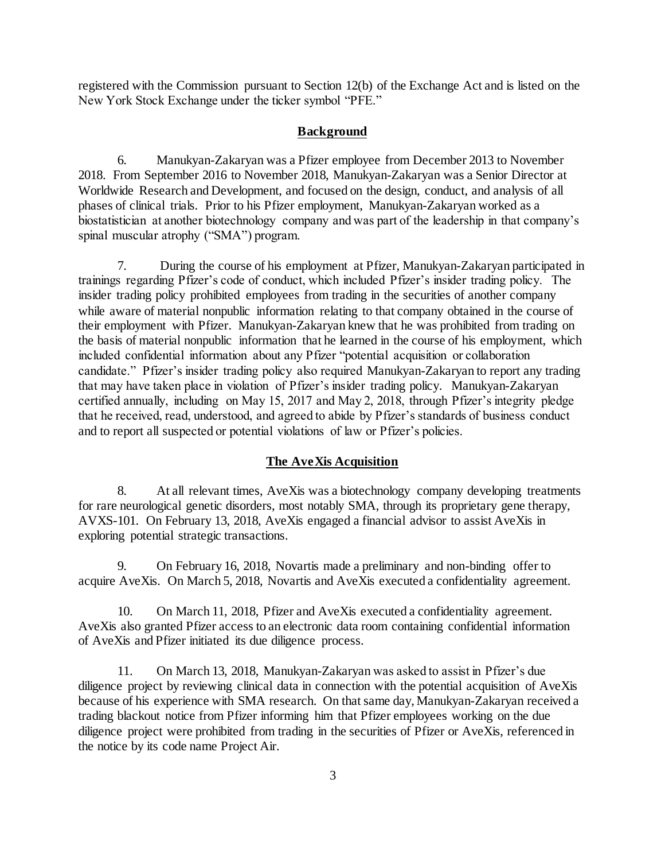registered with the Commission pursuant to Section 12(b) of the Exchange Act and is listed on the New York Stock Exchange under the ticker symbol "PFE."

### **Background**

6. Manukyan-Zakaryan was a Pfizer employee from December 2013 to November 2018. From September 2016 to November 2018, Manukyan-Zakaryan was a Senior Director at Worldwide Research and Development, and focused on the design, conduct, and analysis of all phases of clinical trials. Prior to his Pfizer employment, Manukyan-Zakaryan worked as a biostatistician at another biotechnology company and was part of the leadership in that company's spinal muscular atrophy ("SMA") program.

7. During the course of his employment at Pfizer, Manukyan-Zakaryan participated in trainings regarding Pfizer's code of conduct, which included Pfizer's insider trading policy. The insider trading policy prohibited employees from trading in the securities of another company while aware of material nonpublic information relating to that company obtained in the course of their employment with Pfizer. Manukyan-Zakaryan knew that he was prohibited from trading on the basis of material nonpublic information that he learned in the course of his employment, which included confidential information about any Pfizer "potential acquisition or collaboration candidate." Pfizer's insider trading policy also required Manukyan-Zakaryan to report any trading that may have taken place in violation of Pfizer's insider trading policy. Manukyan-Zakaryan certified annually, including on May 15, 2017 and May 2, 2018, through Pfizer's integrity pledge that he received, read, understood, and agreed to abide by Pfizer's standards of business conduct and to report all suspected or potential violations of law or Pfizer's policies.

### **The AveXis Acquisition**

8. At all relevant times, AveXis was a biotechnology company developing treatments for rare neurological genetic disorders, most notably SMA, through its proprietary gene therapy, AVXS-101. On February 13, 2018, AveXis engaged a financial advisor to assist AveXis in exploring potential strategic transactions.

9. On February 16, 2018, Novartis made a preliminary and non-binding offer to acquire AveXis. On March 5, 2018, Novartis and AveXis executed a confidentiality agreement.

10. On March 11, 2018, Pfizer and AveXis executed a confidentiality agreement. AveXis also granted Pfizer access to an electronic data room containing confidential information of AveXis and Pfizer initiated its due diligence process.

11. On March 13, 2018, Manukyan-Zakaryan was asked to assist in Pfizer's due diligence project by reviewing clinical data in connection with the potential acquisition of AveXis because of his experience with SMA research. On that same day, Manukyan-Zakaryan received a trading blackout notice from Pfizer informing him that Pfizer employees working on the due diligence project were prohibited from trading in the securities of Pfizer or AveXis, referenced in the notice by its code name Project Air.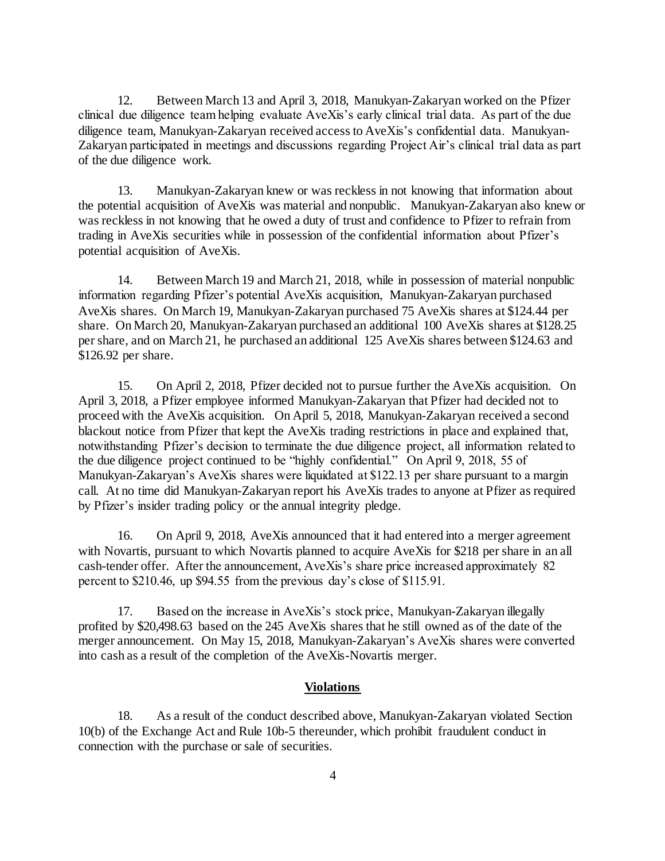12. Between March 13 and April 3, 2018, Manukyan-Zakaryan worked on the Pfizer clinical due diligence team helping evaluate AveXis's early clinical trial data. As part of the due diligence team, Manukyan-Zakaryan received access to AveXis's confidential data. Manukyan-Zakaryan participated in meetings and discussions regarding Project Air's clinical trial data as part of the due diligence work.

13. Manukyan-Zakaryan knew or was reckless in not knowing that information about the potential acquisition of AveXis was material and nonpublic. Manukyan-Zakaryan also knew or was reckless in not knowing that he owed a duty of trust and confidence to Pfizer to refrain from trading in AveXis securities while in possession of the confidential information about Pfizer's potential acquisition of AveXis.

14. Between March 19 and March 21, 2018, while in possession of material nonpublic information regarding Pfizer's potential AveXis acquisition, Manukyan-Zakaryan purchased AveXis shares. On March 19, Manukyan-Zakaryan purchased 75 AveXis shares at \$124.44 per share. On March 20, Manukyan-Zakaryan purchased an additional 100 AveXis shares at \$128.25 per share, and on March 21, he purchased an additional 125 AveXis shares between \$124.63 and \$126.92 per share.

15. On April 2, 2018, Pfizer decided not to pursue further the AveXis acquisition. On April 3, 2018, a Pfizer employee informed Manukyan-Zakaryan that Pfizer had decided not to proceed with the AveXis acquisition. On April 5, 2018, Manukyan-Zakaryan received a second blackout notice from Pfizer that kept the AveXis trading restrictions in place and explained that, notwithstanding Pfizer's decision to terminate the due diligence project, all information related to the due diligence project continued to be "highly confidential." On April 9, 2018, 55 of Manukyan-Zakaryan's AveXis shares were liquidated at \$122.13 per share pursuant to a margin call. At no time did Manukyan-Zakaryan report his AveXis trades to anyone at Pfizer as required by Pfizer's insider trading policy or the annual integrity pledge.

16. On April 9, 2018, AveXis announced that it had entered into a merger agreement with Novartis, pursuant to which Novartis planned to acquire AveXis for \$218 per share in an all cash-tender offer. After the announcement, AveXis's share price increased approximately 82 percent to \$210.46, up \$94.55 from the previous day's close of \$115.91.

17. Based on the increase in AveXis's stock price, Manukyan-Zakaryan illegally profited by \$20,498.63 based on the 245 AveXis shares that he still owned as of the date of the merger announcement. On May 15, 2018, Manukyan-Zakaryan's AveXis shares were converted into cash as a result of the completion of the AveXis-Novartis merger.

### **Violations**

18. As a result of the conduct described above, Manukyan-Zakaryan violated Section 10(b) of the Exchange Act and Rule 10b-5 thereunder, which prohibit fraudulent conduct in connection with the purchase or sale of securities.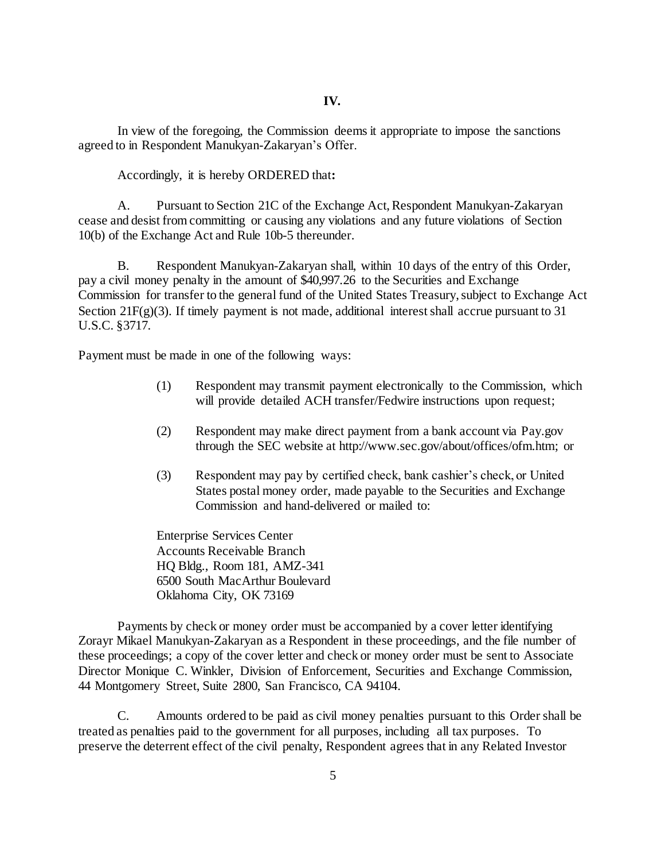In view of the foregoing, the Commission deems it appropriate to impose the sanctions agreed to in Respondent Manukyan-Zakaryan's Offer.

Accordingly, it is hereby ORDERED that**:**

A. Pursuant to Section 21C of the Exchange Act, Respondent Manukyan-Zakaryan cease and desist from committing or causing any violations and any future violations of Section 10(b) of the Exchange Act and Rule 10b-5 thereunder.

B. Respondent Manukyan-Zakaryan shall, within 10 days of the entry of this Order, pay a civil money penalty in the amount of \$40,997.26 to the Securities and Exchange Commission for transfer to the general fund of the United States Treasury, subject to Exchange Act Section  $21F(g)(3)$ . If timely payment is not made, additional interest shall accrue pursuant to 31 U.S.C. §3717.

Payment must be made in one of the following ways:

- (1) Respondent may transmit payment electronically to the Commission, which will provide detailed ACH transfer/Fedwire instructions upon request;
- (2) Respondent may make direct payment from a bank account via Pay.gov through the SEC website at http://www.sec.gov/about/offices/ofm.htm; or
- (3) Respondent may pay by certified check, bank cashier's check, or United States postal money order, made payable to the Securities and Exchange Commission and hand-delivered or mailed to:

Enterprise Services Center Accounts Receivable Branch HQ Bldg., Room 181, AMZ-341 6500 South MacArthur Boulevard Oklahoma City, OK 73169

Payments by check or money order must be accompanied by a cover letter identifying Zorayr Mikael Manukyan-Zakaryan as a Respondent in these proceedings, and the file number of these proceedings; a copy of the cover letter and check or money order must be sent to Associate Director Monique C. Winkler, Division of Enforcement, Securities and Exchange Commission, 44 Montgomery Street, Suite 2800, San Francisco, CA 94104.

C. Amounts ordered to be paid as civil money penalties pursuant to this Order shall be treated as penalties paid to the government for all purposes, including all tax purposes. To preserve the deterrent effect of the civil penalty, Respondent agrees that in any Related Investor